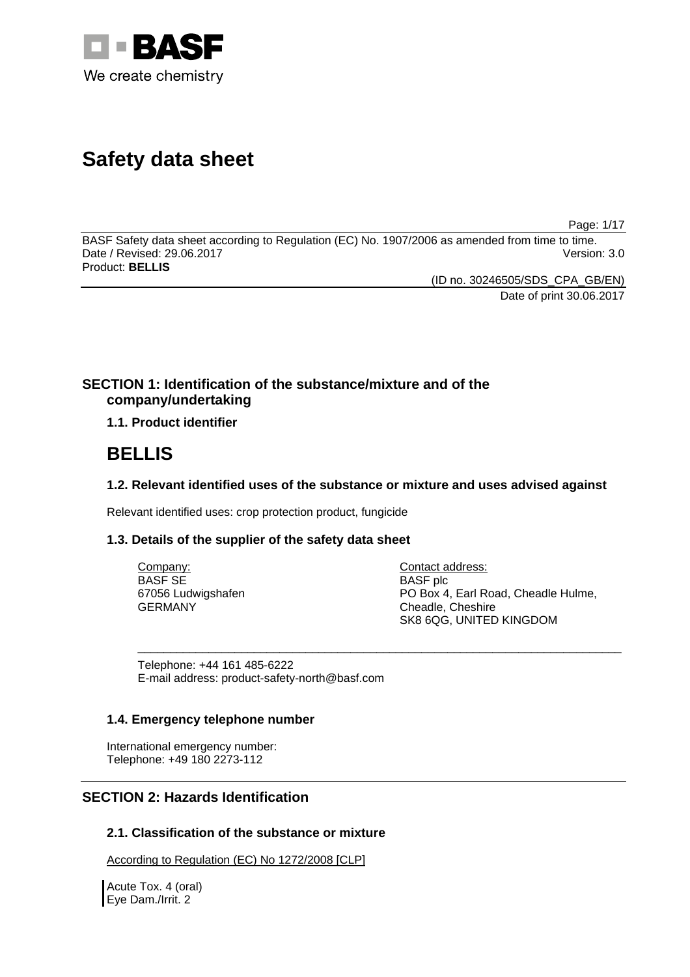

# **Safety data sheet**

Page: 1/17

BASF Safety data sheet according to Regulation (EC) No. 1907/2006 as amended from time to time. Date / Revised: 29.06.2017 Version: 3.0 Product: **BELLIS** 

(ID no. 30246505/SDS\_CPA\_GB/EN)

Date of print 30.06.2017

### **SECTION 1: Identification of the substance/mixture and of the company/undertaking**

**1.1. Product identifier**

## **BELLIS**

### **1.2. Relevant identified uses of the substance or mixture and uses advised against**

\_\_\_\_\_\_\_\_\_\_\_\_\_\_\_\_\_\_\_\_\_\_\_\_\_\_\_\_\_\_\_\_\_\_\_\_\_\_\_\_\_\_\_\_\_\_\_\_\_\_\_\_\_\_\_\_\_\_\_\_\_\_\_\_\_\_\_\_\_\_\_\_\_\_\_

Relevant identified uses: crop protection product, fungicide

### **1.3. Details of the supplier of the safety data sheet**

| Company:           |
|--------------------|
| <b>BASF SE</b>     |
| 67056 Ludwigshafen |
| <b>GERMANY</b>     |

Contact address: BASF plc PO Box 4, Earl Road, Cheadle Hulme, Cheadle, Cheshire SK8 6QG, UNITED KINGDOM

Telephone: +44 161 485-6222 E-mail address: product-safety-north@basf.com

### **1.4. Emergency telephone number**

International emergency number: Telephone: +49 180 2273-112

### **SECTION 2: Hazards Identification**

### **2.1. Classification of the substance or mixture**

According to Regulation (EC) No 1272/2008 [CLP]

Acute Tox. 4 (oral) Eye Dam./Irrit. 2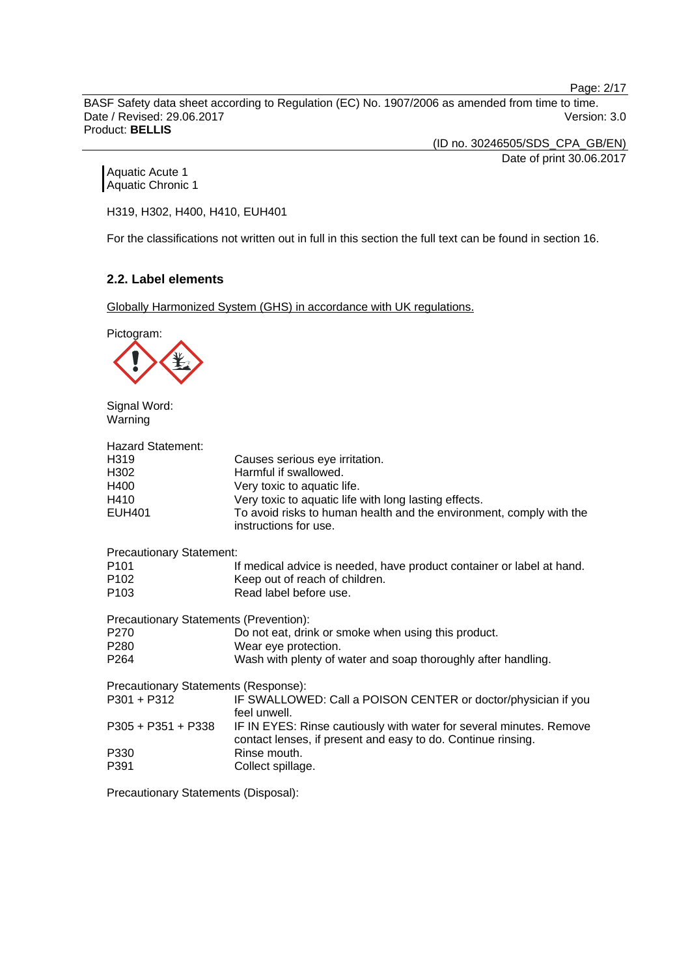Page: 2/17

BASF Safety data sheet according to Regulation (EC) No. 1907/2006 as amended from time to time. Date / Revised: 29.06.2017 Version: 3.0 Product: **BELLIS** 

(ID no. 30246505/SDS\_CPA\_GB/EN)

Date of print 30.06.2017

Aquatic Acute 1 Aquatic Chronic 1

H319, H302, H400, H410, EUH401

For the classifications not written out in full in this section the full text can be found in section 16.

### **2.2. Label elements**

Globally Harmonized System (GHS) in accordance with UK regulations.



Signal Word: Warning

| Hazard Statement:                      |                                                                                                                                     |  |
|----------------------------------------|-------------------------------------------------------------------------------------------------------------------------------------|--|
| H319                                   | Causes serious eye irritation.                                                                                                      |  |
| H302                                   | Harmful if swallowed.                                                                                                               |  |
| H400                                   | Very toxic to aquatic life.                                                                                                         |  |
| H410                                   | Very toxic to aquatic life with long lasting effects.                                                                               |  |
| <b>EUH401</b>                          | To avoid risks to human health and the environment, comply with the<br>instructions for use.                                        |  |
| <b>Precautionary Statement:</b>        |                                                                                                                                     |  |
| P101                                   | If medical advice is needed, have product container or label at hand.                                                               |  |
| P102                                   | Keep out of reach of children.                                                                                                      |  |
| P103                                   | Read label before use.                                                                                                              |  |
| Precautionary Statements (Prevention): |                                                                                                                                     |  |
| P270                                   | Do not eat, drink or smoke when using this product.                                                                                 |  |
| P280                                   | Wear eye protection.                                                                                                                |  |
| P264                                   | Wash with plenty of water and soap thoroughly after handling.                                                                       |  |
| Precautionary Statements (Response):   |                                                                                                                                     |  |
| P301 + P312                            | IF SWALLOWED: Call a POISON CENTER or doctor/physician if you<br>feel unwell.                                                       |  |
| P305 + P351 + P338                     | IF IN EYES: Rinse cautiously with water for several minutes. Remove<br>contact lenses, if present and easy to do. Continue rinsing. |  |
| P330                                   | Rinse mouth.                                                                                                                        |  |
| P391                                   | Collect spillage.                                                                                                                   |  |
|                                        |                                                                                                                                     |  |

Precautionary Statements (Disposal):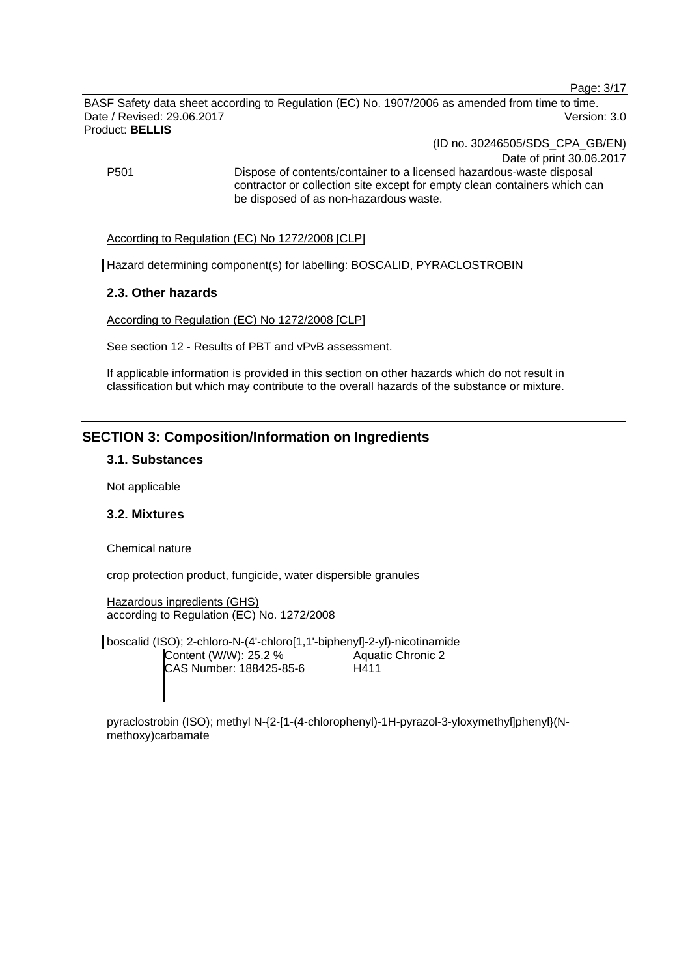Page: 3/17

BASF Safety data sheet according to Regulation (EC) No. 1907/2006 as amended from time to time. Date / Revised: 29.06.2017 Version: 3.0 Product: **BELLIS** 

(ID no. 30246505/SDS\_CPA\_GB/EN)

Date of print 30.06.2017 P501 Dispose of contents/container to a licensed hazardous-waste disposal contractor or collection site except for empty clean containers which can be disposed of as non-hazardous waste.

According to Regulation (EC) No 1272/2008 [CLP]

Hazard determining component(s) for labelling: BOSCALID, PYRACLOSTROBIN

### **2.3. Other hazards**

According to Regulation (EC) No 1272/2008 [CLP]

See section 12 - Results of PBT and vPvB assessment.

If applicable information is provided in this section on other hazards which do not result in classification but which may contribute to the overall hazards of the substance or mixture.

### **SECTION 3: Composition/Information on Ingredients**

#### **3.1. Substances**

Not applicable

### **3.2. Mixtures**

#### Chemical nature

crop protection product, fungicide, water dispersible granules

Hazardous ingredients (GHS) according to Regulation (EC) No. 1272/2008

boscalid (ISO); 2-chloro-N-(4'-chloro[1,1'-biphenyl]-2-yl)-nicotinamide Content (W/W): 25.2 % CAS Number: 188425-85-6 Aquatic Chronic 2 H411

pyraclostrobin (ISO); methyl N-{2-[1-(4-chlorophenyl)-1H-pyrazol-3-yloxymethyl]phenyl}(Nmethoxy)carbamate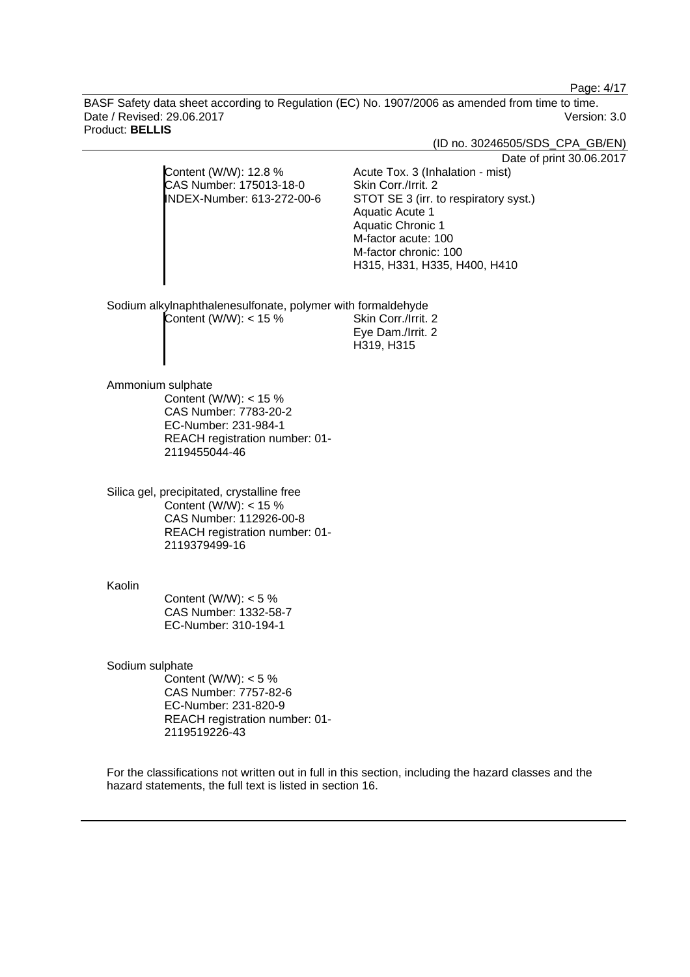Page: 4/17

BASF Safety data sheet according to Regulation (EC) No. 1907/2006 as amended from time to time. Date / Revised: 29.06.2017 Version: 3.0 Product: **BELLIS** 

(ID no. 30246505/SDS\_CPA\_GB/EN)

Date of print 30.06.2017

|                            | Pale VI                               |
|----------------------------|---------------------------------------|
| Content (W/W): 12.8 %      | Acute Tox. 3 (Inhalation - mist)      |
| CAS Number: 175013-18-0    | Skin Corr./Irrit. 2                   |
| INDEX-Number: 613-272-00-6 | STOT SE 3 (irr. to respiratory syst.) |
|                            | Aquatic Acute 1                       |
|                            | <b>Aquatic Chronic 1</b>              |
|                            | M-factor acute: 100                   |
|                            | M-factor chronic: 100                 |
|                            | H315, H331, H335, H400, H410          |
|                            |                                       |
|                            |                                       |

H319, H315

Sodium alkylnaphthalenesulfonate, polymer with formaldehyde  $Content (W/W): < 15 %$  Skin Corr./Irrit. 2 Eye Dam./Irrit. 2

Ammonium sulphate

Content (W/W): < 15 % CAS Number: 7783-20-2 EC-Number: 231-984-1 REACH registration number: 01- 2119455044-46

Silica gel, precipitated, crystalline free Content (W/W): < 15 % CAS Number: 112926-00-8 REACH registration number: 01- 2119379499-16

Kaolin

Content (W/W):  $< 5 \%$ CAS Number: 1332-58-7 EC-Number: 310-194-1

Sodium sulphate

Content (W/W):  $< 5 \%$ CAS Number: 7757-82-6 EC-Number: 231-820-9 REACH registration number: 01- 2119519226-43

For the classifications not written out in full in this section, including the hazard classes and the hazard statements, the full text is listed in section 16.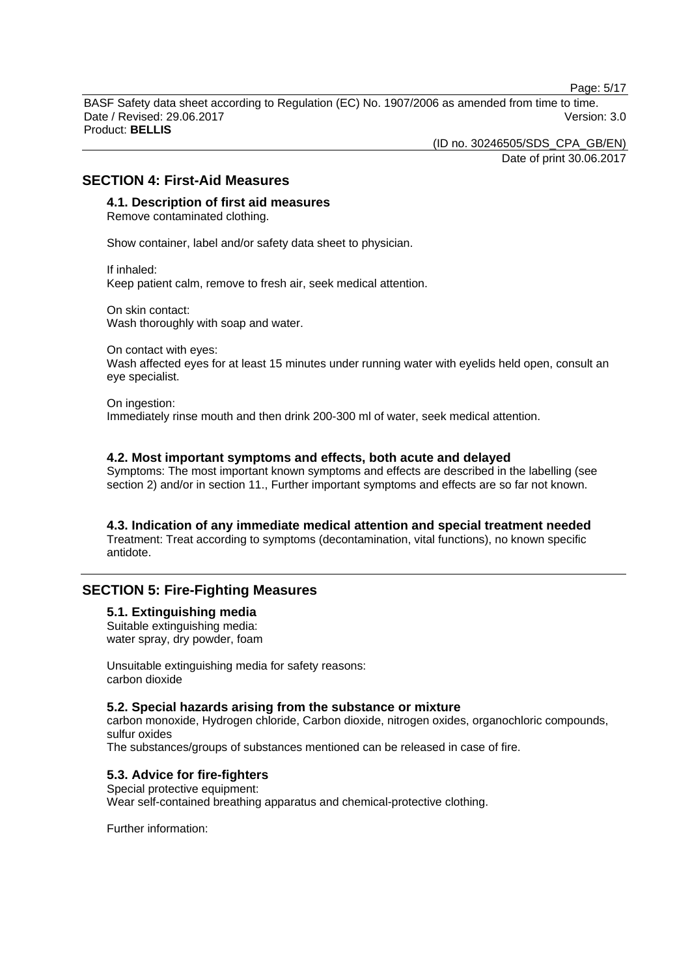Page: 5/17

BASF Safety data sheet according to Regulation (EC) No. 1907/2006 as amended from time to time. Date / Revised: 29.06.2017 Version: 3.0 Product: **BELLIS** 

(ID no. 30246505/SDS\_CPA\_GB/EN)

Date of print 30.06.2017

### **SECTION 4: First-Aid Measures**

### **4.1. Description of first aid measures**

Remove contaminated clothing.

Show container, label and/or safety data sheet to physician.

If inhaled: Keep patient calm, remove to fresh air, seek medical attention.

On skin contact: Wash thoroughly with soap and water.

On contact with eyes:

Wash affected eyes for at least 15 minutes under running water with eyelids held open, consult an eye specialist.

On ingestion: Immediately rinse mouth and then drink 200-300 ml of water, seek medical attention.

### **4.2. Most important symptoms and effects, both acute and delayed**

Symptoms: The most important known symptoms and effects are described in the labelling (see section 2) and/or in section 11., Further important symptoms and effects are so far not known.

### **4.3. Indication of any immediate medical attention and special treatment needed**

Treatment: Treat according to symptoms (decontamination, vital functions), no known specific antidote.

### **SECTION 5: Fire-Fighting Measures**

#### **5.1. Extinguishing media**

Suitable extinguishing media: water spray, dry powder, foam

Unsuitable extinguishing media for safety reasons: carbon dioxide

#### **5.2. Special hazards arising from the substance or mixture**

carbon monoxide, Hydrogen chloride, Carbon dioxide, nitrogen oxides, organochloric compounds, sulfur oxides

The substances/groups of substances mentioned can be released in case of fire.

### **5.3. Advice for fire-fighters**

Special protective equipment: Wear self-contained breathing apparatus and chemical-protective clothing.

Further information: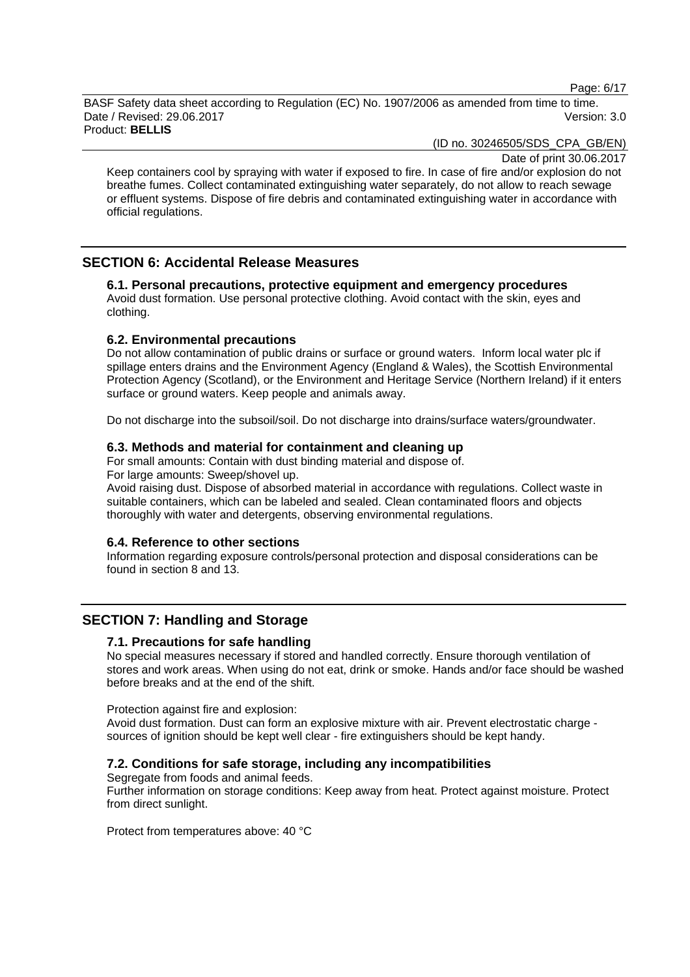Page: 6/17

BASF Safety data sheet according to Regulation (EC) No. 1907/2006 as amended from time to time. Date / Revised: 29.06.2017 Version: 3.0 Product: **BELLIS** 

(ID no. 30246505/SDS\_CPA\_GB/EN)

Date of print 30.06.2017

Keep containers cool by spraying with water if exposed to fire. In case of fire and/or explosion do not breathe fumes. Collect contaminated extinguishing water separately, do not allow to reach sewage or effluent systems. Dispose of fire debris and contaminated extinguishing water in accordance with official regulations.

### **SECTION 6: Accidental Release Measures**

**6.1. Personal precautions, protective equipment and emergency procedures**  Avoid dust formation. Use personal protective clothing. Avoid contact with the skin, eyes and clothing.

### **6.2. Environmental precautions**

Do not allow contamination of public drains or surface or ground waters. Inform local water plc if spillage enters drains and the Environment Agency (England & Wales), the Scottish Environmental Protection Agency (Scotland), or the Environment and Heritage Service (Northern Ireland) if it enters surface or ground waters. Keep people and animals away.

Do not discharge into the subsoil/soil. Do not discharge into drains/surface waters/groundwater.

### **6.3. Methods and material for containment and cleaning up**

For small amounts: Contain with dust binding material and dispose of.

For large amounts: Sweep/shovel up.

Avoid raising dust. Dispose of absorbed material in accordance with regulations. Collect waste in suitable containers, which can be labeled and sealed. Clean contaminated floors and objects thoroughly with water and detergents, observing environmental regulations.

#### **6.4. Reference to other sections**

Information regarding exposure controls/personal protection and disposal considerations can be found in section 8 and 13.

### **SECTION 7: Handling and Storage**

### **7.1. Precautions for safe handling**

No special measures necessary if stored and handled correctly. Ensure thorough ventilation of stores and work areas. When using do not eat, drink or smoke. Hands and/or face should be washed before breaks and at the end of the shift.

#### Protection against fire and explosion:

Avoid dust formation. Dust can form an explosive mixture with air. Prevent electrostatic charge sources of ignition should be kept well clear - fire extinguishers should be kept handy.

#### **7.2. Conditions for safe storage, including any incompatibilities**

Segregate from foods and animal feeds.

Further information on storage conditions: Keep away from heat. Protect against moisture. Protect from direct sunlight.

Protect from temperatures above: 40 °C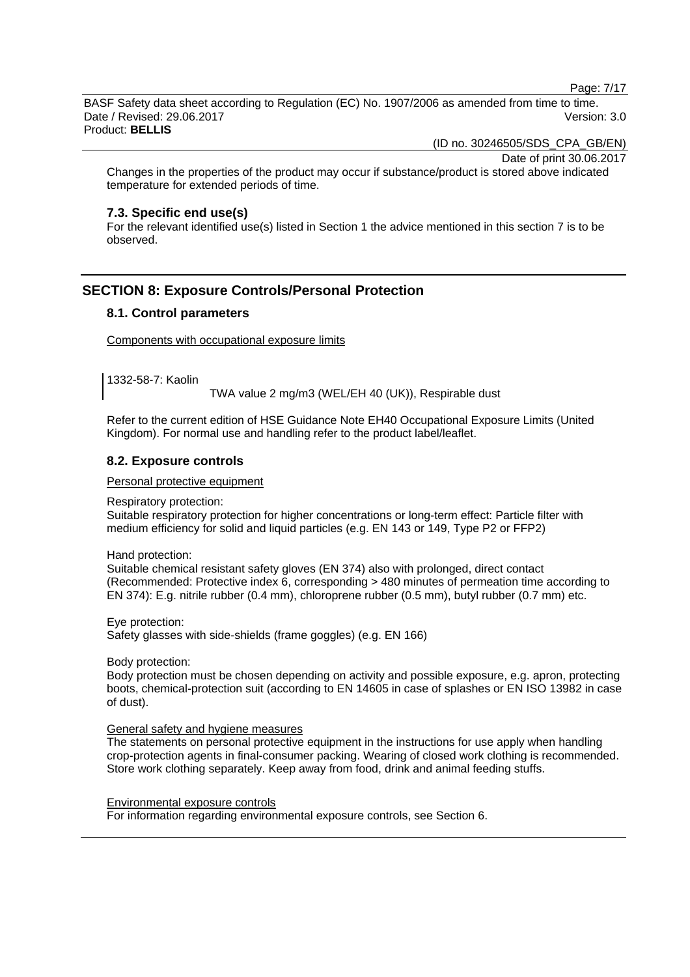Page: 7/17

BASF Safety data sheet according to Regulation (EC) No. 1907/2006 as amended from time to time. Date / Revised: 29.06.2017 Version: 3.0 Product: **BELLIS** 

(ID no. 30246505/SDS\_CPA\_GB/EN)

Date of print 30.06.2017

Changes in the properties of the product may occur if substance/product is stored above indicated temperature for extended periods of time.

#### **7.3. Specific end use(s)**

For the relevant identified use(s) listed in Section 1 the advice mentioned in this section 7 is to be observed.

### **SECTION 8: Exposure Controls/Personal Protection**

#### **8.1. Control parameters**

Components with occupational exposure limits

1332-58-7: Kaolin

TWA value 2 mg/m3 (WEL/EH 40 (UK)), Respirable dust

Refer to the current edition of HSE Guidance Note EH40 Occupational Exposure Limits (United Kingdom). For normal use and handling refer to the product label/leaflet.

### **8.2. Exposure controls**

Personal protective equipment

Respiratory protection:

Suitable respiratory protection for higher concentrations or long-term effect: Particle filter with medium efficiency for solid and liquid particles (e.g. EN 143 or 149, Type P2 or FFP2)

Hand protection:

Suitable chemical resistant safety gloves (EN 374) also with prolonged, direct contact (Recommended: Protective index 6, corresponding > 480 minutes of permeation time according to EN 374): E.g. nitrile rubber (0.4 mm), chloroprene rubber (0.5 mm), butyl rubber (0.7 mm) etc.

Eye protection:

Safety glasses with side-shields (frame goggles) (e.g. EN 166)

Body protection:

Body protection must be chosen depending on activity and possible exposure, e.g. apron, protecting boots, chemical-protection suit (according to EN 14605 in case of splashes or EN ISO 13982 in case of dust).

#### General safety and hygiene measures

The statements on personal protective equipment in the instructions for use apply when handling crop-protection agents in final-consumer packing. Wearing of closed work clothing is recommended. Store work clothing separately. Keep away from food, drink and animal feeding stuffs.

Environmental exposure controls For information regarding environmental exposure controls, see Section 6.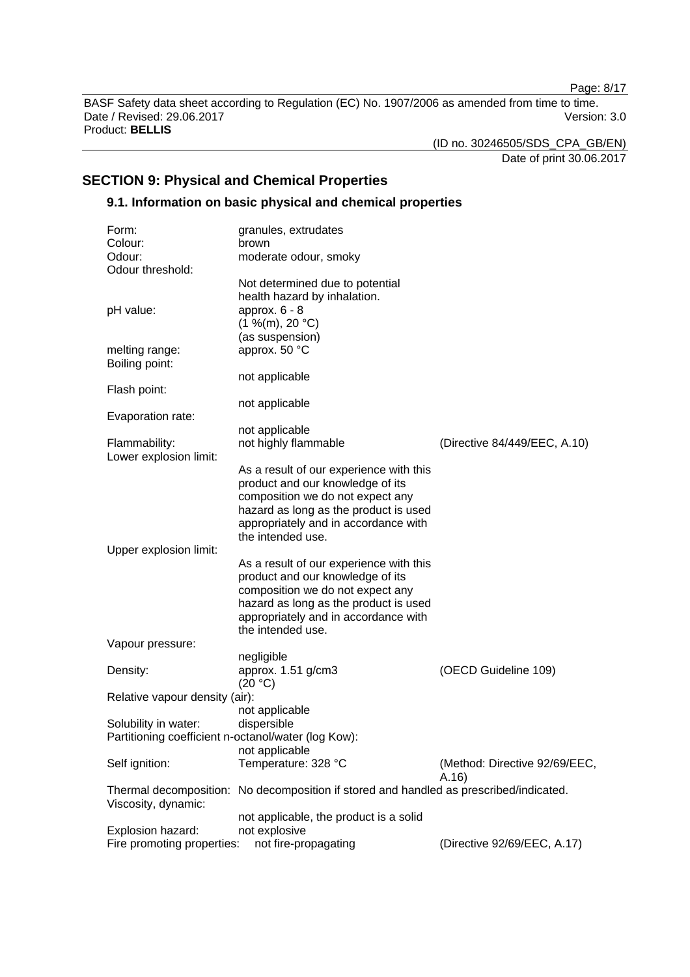Page: 8/17

BASF Safety data sheet according to Regulation (EC) No. 1907/2006 as amended from time to time. Date / Revised: 29.06.2017 **Version: 3.0** Product: **BELLIS** 

(ID no. 30246505/SDS\_CPA\_GB/EN)

Date of print 30.06.2017

### **SECTION 9: Physical and Chemical Properties**

### **9.1. Information on basic physical and chemical properties**

| Form:                                               | granules, extrudates                                                                                  |                               |
|-----------------------------------------------------|-------------------------------------------------------------------------------------------------------|-------------------------------|
| Colour:                                             | brown                                                                                                 |                               |
| Odour:                                              | moderate odour, smoky                                                                                 |                               |
| Odour threshold:                                    |                                                                                                       |                               |
| pH value:                                           | Not determined due to potential<br>health hazard by inhalation.<br>approx. $6 - 8$<br>(1 %(m), 20 °C) |                               |
| melting range:<br>Boiling point:                    | (as suspension)<br>approx. 50 °C                                                                      |                               |
|                                                     | not applicable                                                                                        |                               |
| Flash point:                                        |                                                                                                       |                               |
|                                                     | not applicable                                                                                        |                               |
| Evaporation rate:                                   |                                                                                                       |                               |
|                                                     | not applicable                                                                                        |                               |
| Flammability:<br>Lower explosion limit:             | not highly flammable                                                                                  | (Directive 84/449/EEC, A.10)  |
|                                                     | As a result of our experience with this                                                               |                               |
|                                                     | product and our knowledge of its                                                                      |                               |
|                                                     | composition we do not expect any                                                                      |                               |
|                                                     | hazard as long as the product is used                                                                 |                               |
|                                                     | appropriately and in accordance with                                                                  |                               |
|                                                     | the intended use.                                                                                     |                               |
| Upper explosion limit:                              |                                                                                                       |                               |
|                                                     | As a result of our experience with this                                                               |                               |
|                                                     | product and our knowledge of its                                                                      |                               |
|                                                     | composition we do not expect any                                                                      |                               |
|                                                     | hazard as long as the product is used                                                                 |                               |
|                                                     | appropriately and in accordance with                                                                  |                               |
|                                                     | the intended use.                                                                                     |                               |
| Vapour pressure:                                    |                                                                                                       |                               |
|                                                     | negligible                                                                                            |                               |
| Density:                                            | approx. 1.51 g/cm3                                                                                    | (OECD Guideline 109)          |
|                                                     | (20 °C)                                                                                               |                               |
| Relative vapour density (air):                      |                                                                                                       |                               |
|                                                     | not applicable                                                                                        |                               |
| Solubility in water:                                | dispersible                                                                                           |                               |
| Partitioning coefficient n-octanol/water (log Kow): |                                                                                                       |                               |
|                                                     | not applicable                                                                                        |                               |
| Self ignition:                                      | Temperature: 328 °C                                                                                   | (Method: Directive 92/69/EEC, |
|                                                     |                                                                                                       | A.16)                         |
|                                                     | Thermal decomposition: No decomposition if stored and handled as prescribed/indicated.                |                               |
| Viscosity, dynamic:                                 |                                                                                                       |                               |
|                                                     | not applicable, the product is a solid                                                                |                               |
| Explosion hazard:                                   | not explosive                                                                                         |                               |
| Fire promoting properties:                          | not fire-propagating                                                                                  | (Directive 92/69/EEC, A.17)   |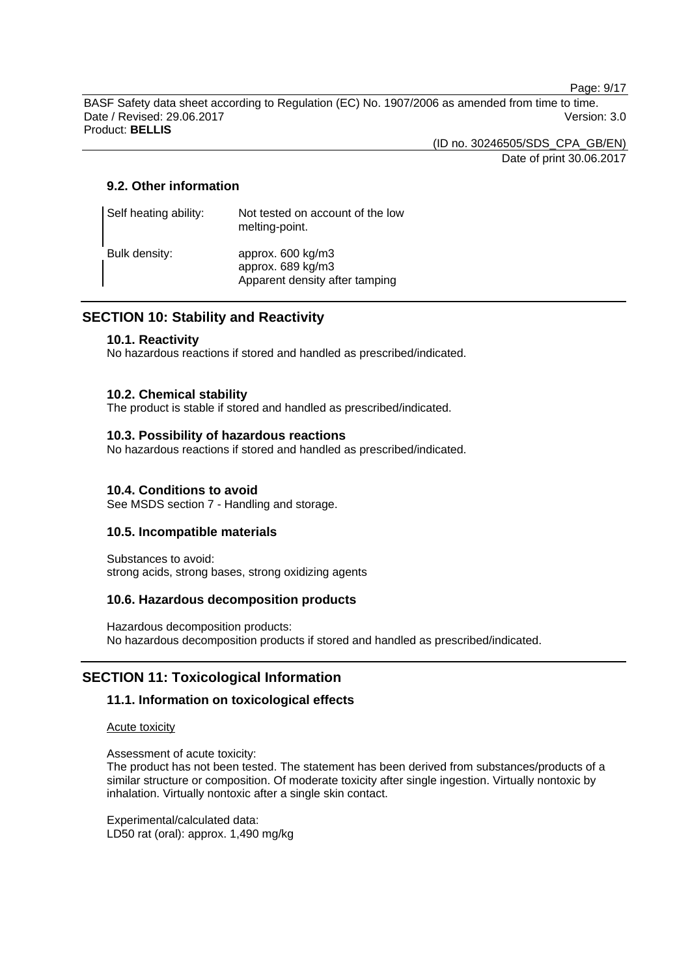Page: 9/17

BASF Safety data sheet according to Regulation (EC) No. 1907/2006 as amended from time to time. Date / Revised: 29.06.2017 Version: 3.0 Product: **BELLIS** 

(ID no. 30246505/SDS\_CPA\_GB/EN)

Date of print 30.06.2017

### **9.2. Other information**

| Self heating ability: | Not tested on account of the low<br>melting-point.                       |
|-----------------------|--------------------------------------------------------------------------|
| Bulk density:         | approx. 600 kg/m3<br>approx. 689 kg/m3<br>Apparent density after tamping |

### **SECTION 10: Stability and Reactivity**

### **10.1. Reactivity**

No hazardous reactions if stored and handled as prescribed/indicated.

### **10.2. Chemical stability**

The product is stable if stored and handled as prescribed/indicated.

### **10.3. Possibility of hazardous reactions**

No hazardous reactions if stored and handled as prescribed/indicated.

### **10.4. Conditions to avoid**

See MSDS section 7 - Handling and storage.

### **10.5. Incompatible materials**

Substances to avoid: strong acids, strong bases, strong oxidizing agents

### **10.6. Hazardous decomposition products**

Hazardous decomposition products: No hazardous decomposition products if stored and handled as prescribed/indicated.

### **SECTION 11: Toxicological Information**

### **11.1. Information on toxicological effects**

Acute toxicity

Assessment of acute toxicity:

The product has not been tested. The statement has been derived from substances/products of a similar structure or composition. Of moderate toxicity after single ingestion. Virtually nontoxic by inhalation. Virtually nontoxic after a single skin contact.

Experimental/calculated data: LD50 rat (oral): approx. 1,490 mg/kg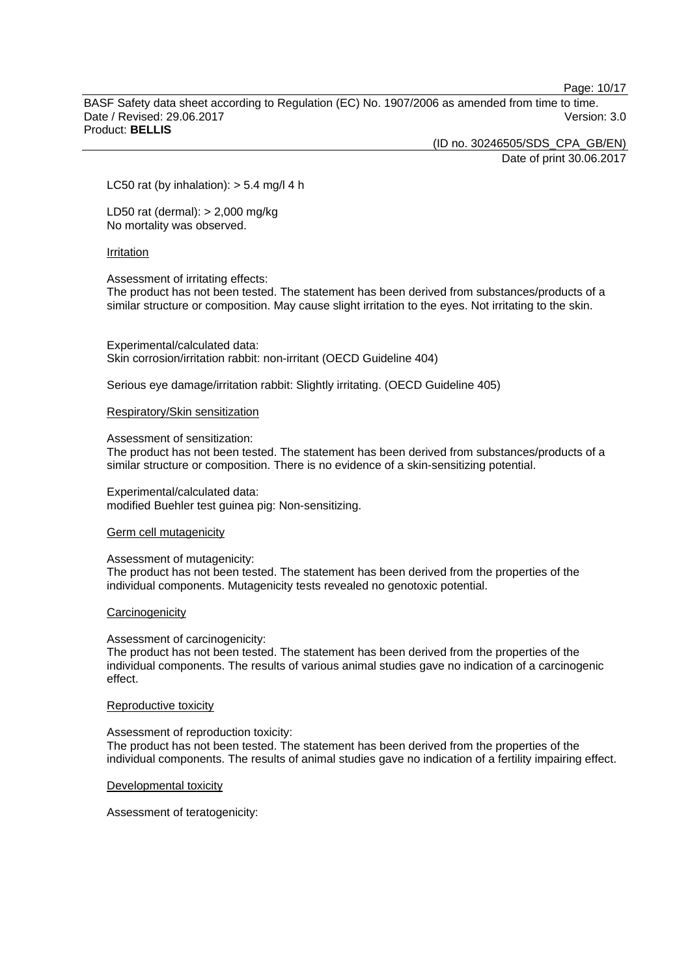Page: 10/17

BASF Safety data sheet according to Regulation (EC) No. 1907/2006 as amended from time to time. Date / Revised: 29.06.2017 **Version: 3.0** Product: **BELLIS** 

(ID no. 30246505/SDS\_CPA\_GB/EN)

Date of print 30.06.2017

LC50 rat (by inhalation):  $> 5.4$  mg/l 4 h

LD50 rat (dermal): > 2,000 mg/kg No mortality was observed.

#### Irritation

Assessment of irritating effects:

The product has not been tested. The statement has been derived from substances/products of a similar structure or composition. May cause slight irritation to the eyes. Not irritating to the skin.

Experimental/calculated data: Skin corrosion/irritation rabbit: non-irritant (OECD Guideline 404)

Serious eye damage/irritation rabbit: Slightly irritating. (OECD Guideline 405)

Respiratory/Skin sensitization

#### Assessment of sensitization:

The product has not been tested. The statement has been derived from substances/products of a similar structure or composition. There is no evidence of a skin-sensitizing potential.

#### Experimental/calculated data:

modified Buehler test guinea pig: Non-sensitizing.

#### Germ cell mutagenicity

#### Assessment of mutagenicity:

The product has not been tested. The statement has been derived from the properties of the individual components. Mutagenicity tests revealed no genotoxic potential.

#### **Carcinogenicity**

Assessment of carcinogenicity:

The product has not been tested. The statement has been derived from the properties of the individual components. The results of various animal studies gave no indication of a carcinogenic effect.

#### Reproductive toxicity

Assessment of reproduction toxicity:

The product has not been tested. The statement has been derived from the properties of the individual components. The results of animal studies gave no indication of a fertility impairing effect.

Developmental toxicity

Assessment of teratogenicity: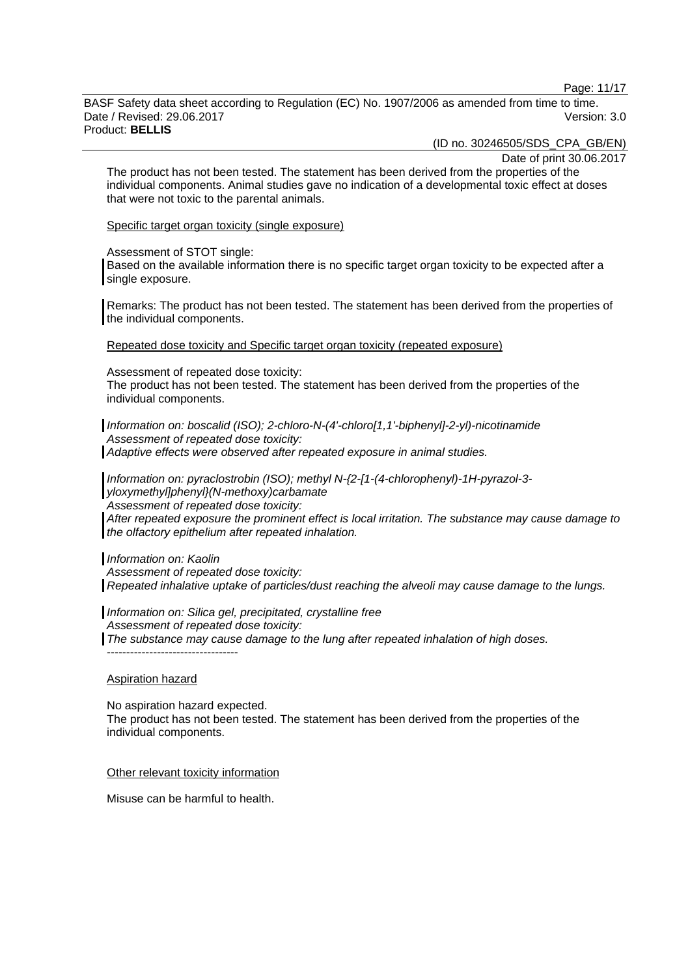Page: 11/17

BASF Safety data sheet according to Regulation (EC) No. 1907/2006 as amended from time to time. Date / Revised: 29.06.2017 Version: 3.0 Product: **BELLIS** 

(ID no. 30246505/SDS\_CPA\_GB/EN)

Date of print 30.06.2017

The product has not been tested. The statement has been derived from the properties of the individual components. Animal studies gave no indication of a developmental toxic effect at doses that were not toxic to the parental animals.

Specific target organ toxicity (single exposure)

Assessment of STOT single:

Based on the available information there is no specific target organ toxicity to be expected after a single exposure.

Remarks: The product has not been tested. The statement has been derived from the properties of the individual components.

Repeated dose toxicity and Specific target organ toxicity (repeated exposure)

Assessment of repeated dose toxicity:

The product has not been tested. The statement has been derived from the properties of the individual components.

*Information on: boscalid (ISO); 2-chloro-N-(4'-chloro[1,1'-biphenyl]-2-yl)-nicotinamide Assessment of repeated dose toxicity: Adaptive effects were observed after repeated exposure in animal studies.* 

*Information on: pyraclostrobin (ISO); methyl N-{2-[1-(4-chlorophenyl)-1H-pyrazol-3 yloxymethyl]phenyl}(N-methoxy)carbamate Assessment of repeated dose toxicity:* 

*After repeated exposure the prominent effect is local irritation. The substance may cause damage to the olfactory epithelium after repeated inhalation.* 

*Information on: Kaolin* 

*Assessment of repeated dose toxicity:* 

*Repeated inhalative uptake of particles/dust reaching the alveoli may cause damage to the lungs.* 

*Information on: Silica gel, precipitated, crystalline free Assessment of repeated dose toxicity: The substance may cause damage to the lung after repeated inhalation of high doses.*  ----------------------------------

#### Aspiration hazard

No aspiration hazard expected.

The product has not been tested. The statement has been derived from the properties of the individual components.

Other relevant toxicity information

Misuse can be harmful to health.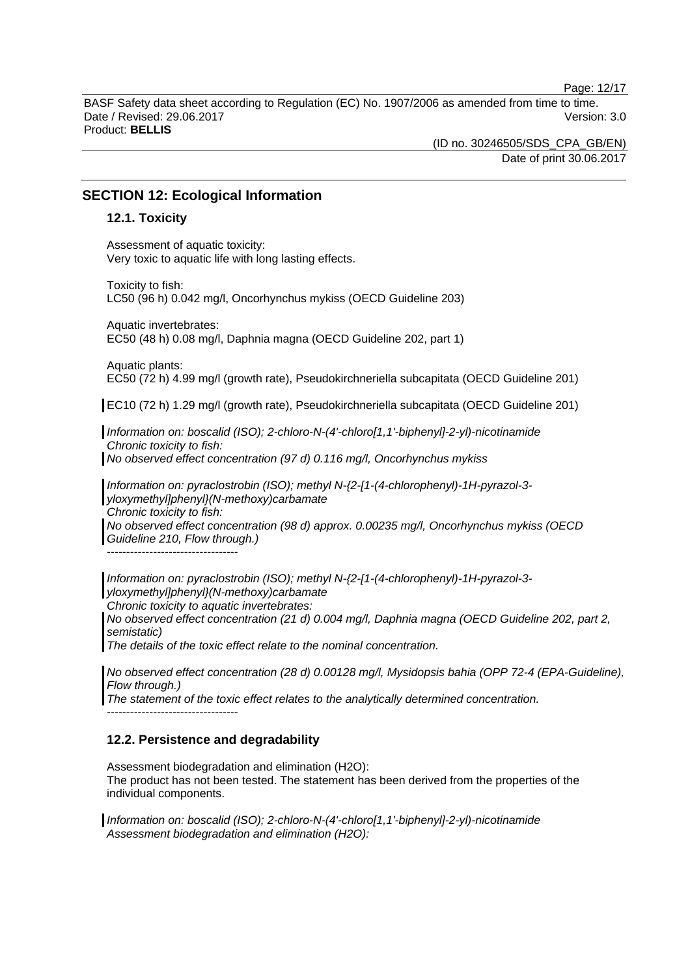Page: 12/17

BASF Safety data sheet according to Regulation (EC) No. 1907/2006 as amended from time to time. Date / Revised: 29.06.2017 Version: 3.0 Product: **BELLIS** 

> (ID no. 30246505/SDS\_CPA\_GB/EN) Date of print 30.06.2017

### **SECTION 12: Ecological Information**

### **12.1. Toxicity**

Assessment of aquatic toxicity: Very toxic to aquatic life with long lasting effects.

Toxicity to fish: LC50 (96 h) 0.042 mg/l, Oncorhynchus mykiss (OECD Guideline 203)

Aquatic invertebrates: EC50 (48 h) 0.08 mg/l, Daphnia magna (OECD Guideline 202, part 1)

Aquatic plants: EC50 (72 h) 4.99 mg/l (growth rate), Pseudokirchneriella subcapitata (OECD Guideline 201)

EC10 (72 h) 1.29 mg/l (growth rate), Pseudokirchneriella subcapitata (OECD Guideline 201)

*Information on: boscalid (ISO); 2-chloro-N-(4'-chloro[1,1'-biphenyl]-2-yl)-nicotinamide Chronic toxicity to fish:* 

*No observed effect concentration (97 d) 0.116 mg/l, Oncorhynchus mykiss* 

*Information on: pyraclostrobin (ISO); methyl N-{2-[1-(4-chlorophenyl)-1H-pyrazol-3 yloxymethyl]phenyl}(N-methoxy)carbamate Chronic toxicity to fish: No observed effect concentration (98 d) approx. 0.00235 mg/l, Oncorhynchus mykiss (OECD* 

*Guideline 210, Flow through.)*  ----------------------------------

*Information on: pyraclostrobin (ISO); methyl N-{2-[1-(4-chlorophenyl)-1H-pyrazol-3 yloxymethyl]phenyl}(N-methoxy)carbamate* 

*Chronic toxicity to aquatic invertebrates:* 

*No observed effect concentration (21 d) 0.004 mg/l, Daphnia magna (OECD Guideline 202, part 2, semistatic)* 

*The details of the toxic effect relate to the nominal concentration.* 

*No observed effect concentration (28 d) 0.00128 mg/l, Mysidopsis bahia (OPP 72-4 (EPA-Guideline), Flow through.)* 

*The statement of the toxic effect relates to the analytically determined concentration.*  ----------------------------------

### **12.2. Persistence and degradability**

Assessment biodegradation and elimination (H2O): The product has not been tested. The statement has been derived from the properties of the individual components.

*Information on: boscalid (ISO); 2-chloro-N-(4'-chloro[1,1'-biphenyl]-2-yl)-nicotinamide Assessment biodegradation and elimination (H2O):*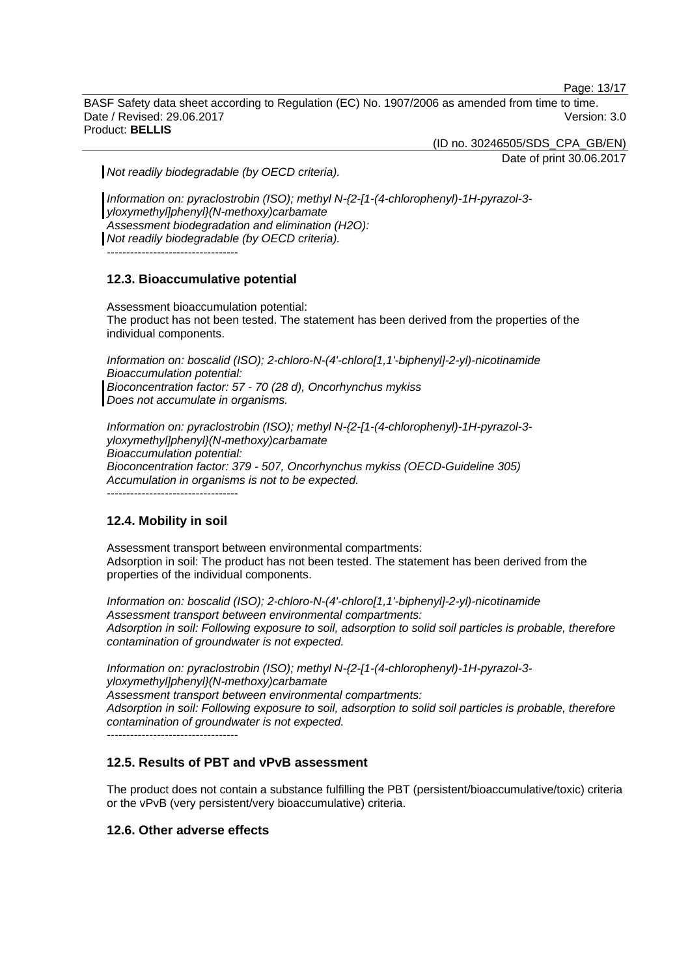Page: 13/17

BASF Safety data sheet according to Regulation (EC) No. 1907/2006 as amended from time to time. Date / Revised: 29.06.2017 **Version: 3.0** Product: **BELLIS** 

(ID no. 30246505/SDS\_CPA\_GB/EN)

Date of print 30.06.2017

*Not readily biodegradable (by OECD criteria).* 

*Information on: pyraclostrobin (ISO); methyl N-{2-[1-(4-chlorophenyl)-1H-pyrazol-3 yloxymethyl]phenyl}(N-methoxy)carbamate Assessment biodegradation and elimination (H2O): Not readily biodegradable (by OECD criteria).*  ----------------------------------

### **12.3. Bioaccumulative potential**

Assessment bioaccumulation potential: The product has not been tested. The statement has been derived from the properties of the individual components.

*Information on: boscalid (ISO); 2-chloro-N-(4'-chloro[1,1'-biphenyl]-2-yl)-nicotinamide Bioaccumulation potential: Bioconcentration factor: 57 - 70 (28 d), Oncorhynchus mykiss Does not accumulate in organisms.* 

*Information on: pyraclostrobin (ISO); methyl N-{2-[1-(4-chlorophenyl)-1H-pyrazol-3 yloxymethyl]phenyl}(N-methoxy)carbamate Bioaccumulation potential: Bioconcentration factor: 379 - 507, Oncorhynchus mykiss (OECD-Guideline 305) Accumulation in organisms is not to be expected.*  ----------------------------------

### **12.4. Mobility in soil**

Assessment transport between environmental compartments: Adsorption in soil: The product has not been tested. The statement has been derived from the properties of the individual components.

*Information on: boscalid (ISO); 2-chloro-N-(4'-chloro[1,1'-biphenyl]-2-yl)-nicotinamide Assessment transport between environmental compartments: Adsorption in soil: Following exposure to soil, adsorption to solid soil particles is probable, therefore contamination of groundwater is not expected.*

*Information on: pyraclostrobin (ISO); methyl N-{2-[1-(4-chlorophenyl)-1H-pyrazol-3 yloxymethyl]phenyl}(N-methoxy)carbamate Assessment transport between environmental compartments: Adsorption in soil: Following exposure to soil, adsorption to solid soil particles is probable, therefore contamination of groundwater is not expected.*

 $-$ 

### **12.5. Results of PBT and vPvB assessment**

The product does not contain a substance fulfilling the PBT (persistent/bioaccumulative/toxic) criteria or the vPvB (very persistent/very bioaccumulative) criteria.

### **12.6. Other adverse effects**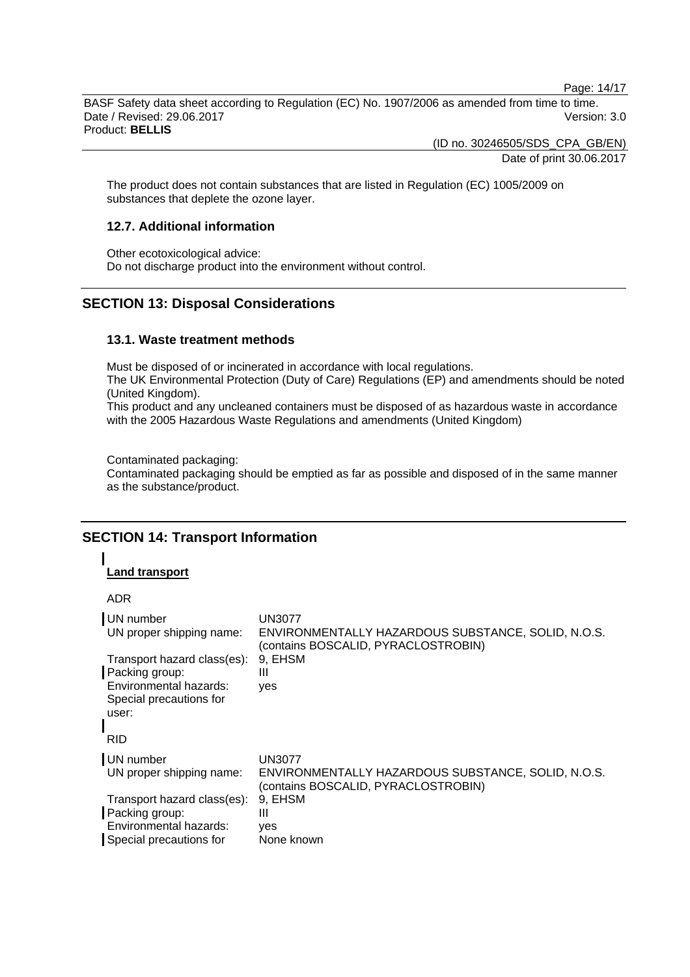Page: 14/17

BASF Safety data sheet according to Regulation (EC) No. 1907/2006 as amended from time to time. Date / Revised: 29.06.2017 Version: 3.0 Product: **BELLIS** 

(ID no. 30246505/SDS\_CPA\_GB/EN)

Date of print 30.06.2017

The product does not contain substances that are listed in Regulation (EC) 1005/2009 on substances that deplete the ozone layer.

### **12.7. Additional information**

Other ecotoxicological advice: Do not discharge product into the environment without control.

### **SECTION 13: Disposal Considerations**

### **13.1. Waste treatment methods**

Must be disposed of or incinerated in accordance with local regulations.

The UK Environmental Protection (Duty of Care) Regulations (EP) and amendments should be noted (United Kingdom).

This product and any uncleaned containers must be disposed of as hazardous waste in accordance with the 2005 Hazardous Waste Regulations and amendments (United Kingdom)

Contaminated packaging:

Contaminated packaging should be emptied as far as possible and disposed of in the same manner as the substance/product.

### **SECTION 14: Transport Information**

### **Land transport**

ADR

| UN number<br>UN proper shipping name:                                                                              | <b>UN3077</b><br>ENVIRONMENTALLY HAZARDOUS SUBSTANCE, SOLID, N.O.S.<br>(contains BOSCALID, PYRACLOSTROBIN) |
|--------------------------------------------------------------------------------------------------------------------|------------------------------------------------------------------------------------------------------------|
| Transport hazard class(es):<br>Packing group:<br>Environmental hazards:<br>Special precautions for<br>user:<br>RID | 9, EHSM<br>Ш<br>yes                                                                                        |
| UN number<br>UN proper shipping name:                                                                              | <b>UN3077</b><br>ENVIRONMENTALLY HAZARDOUS SUBSTANCE, SOLID, N.O.S.<br>(contains BOSCALID, PYRACLOSTROBIN) |
| Transport hazard class(es):<br>Packing group:<br>Environmental hazards:<br>Special precautions for                 | 9, EHSM<br>Ш<br>ves<br>None known                                                                          |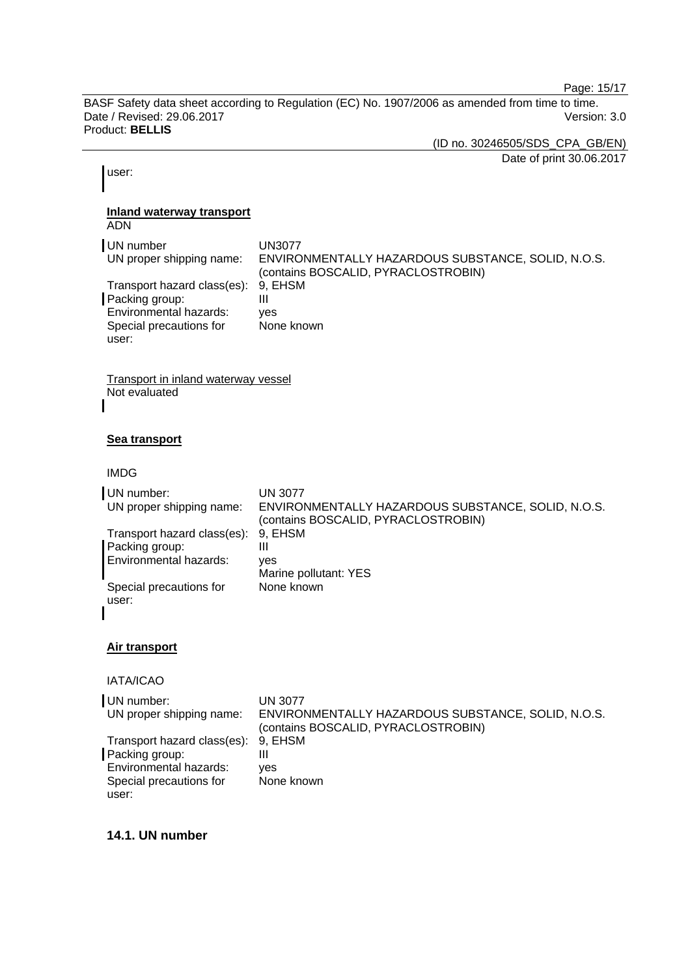Page: 15/17

BASF Safety data sheet according to Regulation (EC) No. 1907/2006 as amended from time to time. Date / Revised: 29.06.2017 Product: **BELLIS** 

(ID no. 30246505/SDS\_CPA\_GB/EN)

Date of print 30.06.2017

user:

### **Inland waterway transport**

ADN

| UN number<br>UN proper shipping name:                                                                               | UN3077<br>ENVIRONMENTALLY HAZARDOUS SUBSTANCE, SOLID, N.O.S.<br>(contains BOSCALID, PYRACLOSTROBIN) |
|---------------------------------------------------------------------------------------------------------------------|-----------------------------------------------------------------------------------------------------|
| Transport hazard class(es): 9, EHSM<br>Packing group:<br>Environmental hazards:<br>Special precautions for<br>user: | Ш<br>ves<br>None known                                                                              |

Transport in inland waterway vessel Not evaluated

### **Sea transport**

IMDG

| UN number:<br>UN proper shipping name: | <b>UN 3077</b><br>ENVIRONMENTALLY HAZARDOUS SUBSTANCE, SOLID, N.O.S.<br>(contains BOSCALID, PYRACLOSTROBIN) |
|----------------------------------------|-------------------------------------------------------------------------------------------------------------|
| Transport hazard class(es):            | 9. EHSM                                                                                                     |
| Packing group:                         | Ш                                                                                                           |
| Environmental hazards:                 | ves                                                                                                         |
|                                        | Marine pollutant: YES                                                                                       |
| Special precautions for                | None known                                                                                                  |
| user:                                  |                                                                                                             |
|                                        |                                                                                                             |

### **Air transport**

IATA/ICAO

| UN number:                          | UN 3077                                                                                   |
|-------------------------------------|-------------------------------------------------------------------------------------------|
| UN proper shipping name:            | ENVIRONMENTALLY HAZARDOUS SUBSTANCE, SOLID, N.O.S.<br>(contains BOSCALID, PYRACLOSTROBIN) |
| Transport hazard class(es): 9, EHSM |                                                                                           |
| Packing group:                      | Ш                                                                                         |
| Environmental hazards:              | ves                                                                                       |
| Special precautions for             | None known                                                                                |
| user:                               |                                                                                           |

### **14.1. UN number**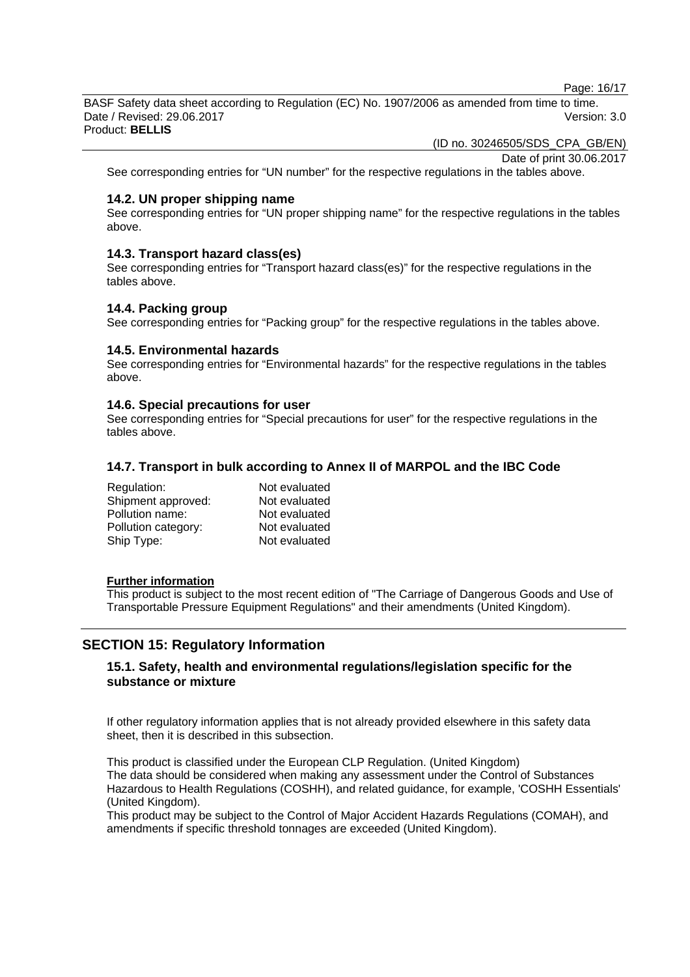Page: 16/17

BASF Safety data sheet according to Regulation (EC) No. 1907/2006 as amended from time to time. Date / Revised: 29.06.2017 Version: 3.0 Product: **BELLIS** 

(ID no. 30246505/SDS\_CPA\_GB/EN)

Date of print 30.06.2017

See corresponding entries for "UN number" for the respective regulations in the tables above.

### **14.2. UN proper shipping name**

See corresponding entries for "UN proper shipping name" for the respective regulations in the tables above.

### **14.3. Transport hazard class(es)**

See corresponding entries for "Transport hazard class(es)" for the respective regulations in the tables above.

### **14.4. Packing group**

See corresponding entries for "Packing group" for the respective regulations in the tables above.

### **14.5. Environmental hazards**

See corresponding entries for "Environmental hazards" for the respective regulations in the tables above.

#### **14.6. Special precautions for user**

See corresponding entries for "Special precautions for user" for the respective regulations in the tables above.

### **14.7. Transport in bulk according to Annex II of MARPOL and the IBC Code**

| Regulation:         | Not evaluated |
|---------------------|---------------|
| Shipment approved:  | Not evaluated |
| Pollution name:     | Not evaluated |
| Pollution category: | Not evaluated |
| Ship Type:          | Not evaluated |

#### **Further information**

This product is subject to the most recent edition of "The Carriage of Dangerous Goods and Use of Transportable Pressure Equipment Regulations" and their amendments (United Kingdom).

### **SECTION 15: Regulatory Information**

### **15.1. Safety, health and environmental regulations/legislation specific for the substance or mixture**

If other regulatory information applies that is not already provided elsewhere in this safety data sheet, then it is described in this subsection.

This product is classified under the European CLP Regulation. (United Kingdom) The data should be considered when making any assessment under the Control of Substances Hazardous to Health Regulations (COSHH), and related guidance, for example, 'COSHH Essentials' (United Kingdom).

This product may be subject to the Control of Major Accident Hazards Regulations (COMAH), and amendments if specific threshold tonnages are exceeded (United Kingdom).